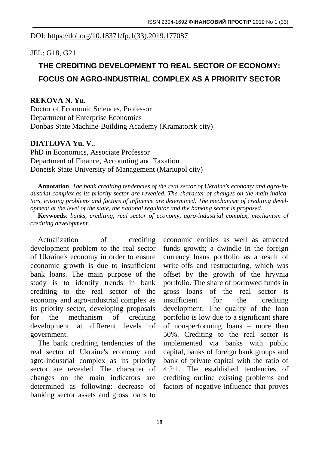### DOI: [https://doi.org/10.18371/fp.1\(33\).2019.177087](https://doi.org/10.18371/fp.1(33).2019.177087)

## JEL: G18, G21

# **THE CREDITING DEVELOPMENT TO REAL SECTOR OF ECONOMY: FOCUS ON AGRO-INDUSTRIAL COMPLEX AS A PRIORITY SECTOR**

### **REKOVA N. Yu.**

Doctor of Economic Sciences, Professor Department of Enterprise Economics Donbas State Machine-Building Academy (Kramatorsk city)

#### **DIATLOVA Yu. V.**,

PhD in Economics, Associate Professor Department of Finance, Accounting and Taxation Donetsk State University of Management (Mariupol city)

**Annotation**. *The bank crediting tendencies of the real sector of Ukraine's economy and agro-industrial complex as its priority sector are revealed. The character of changes on the main indicators, existing problems and factors of influence are determined. The mechanism of crediting development at the level of the state, the national regulator and the banking sector is proposed.*

**Keywords**: *banks, crediting, real sector of economy, agro-industrial complex, mechanism of crediting development.*

Actualization of crediting development problem to the real sector of Ukraine's economy in order to ensure economic growth is due to insufficient bank loans. The main purpose of the study is to identify trends in bank crediting to the real sector of the economy and agro-industrial complex as its priority sector, developing proposals for the mechanism of crediting development at different levels of government.

The bank crediting tendencies of the real sector of Ukraine's economy and agro-industrial complex as its priority sector are revealed. The character of changes on the main indicators are determined as following: decrease of banking sector assets and gross loans to

economic entities as well as attracted funds growth; a dwindle in the foreign currency loans portfolio as a result of write-offs and restructuring, which was offset by the growth of the hryvnia portfolio. The share of borrowed funds in gross loans of the real sector is insufficient for the crediting development. The quality of the loan portfolio is low due to a significant share of non-performing loans – more than 50%. Crediting to the real sector is implemented via banks with public capital, banks of foreign bank groups and bank of private capital with the ratio of 4:2:1. The established tendencies of crediting outline existing problems and factors of negative influence that proves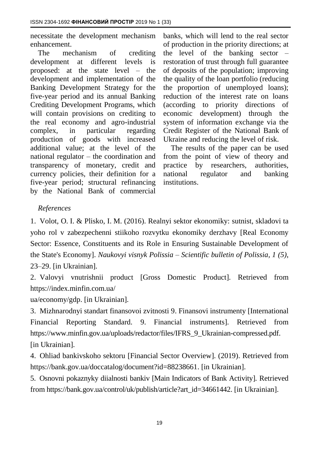necessitate the development mechanism enhancement.

The mechanism of crediting development at different levels is proposed: at the state level – the development and implementation of the Banking Development Strategy for the five-year period and its annual Banking Crediting Development Programs, which will contain provisions on crediting to the real economy and agro-industrial complex, in particular regarding production of goods with increased additional value; at the level of the national regulator – the coordination and transparency of monetary, credit and currency policies, their definition for a five-year period; structural refinancing by the National Bank of commercial

banks, which will lend to the real sector of production in the priority directions; at the level of the banking sector – restoration of trust through full guarantee of deposits of the population; improving the quality of the loan portfolio (reducing the proportion of unemployed loans); reduction of the interest rate on loans (according to priority directions of economic development) through the system of information exchange via the Credit Register of the National Bank of Ukraine and reducing the level of risk.

The results of the paper can be used from the point of view of theory and practice by researchers, authorities, national regulator and banking institutions.

## *References*

1. Volot, O. I. & Plisko, I. M. (2016). Realnyi sektor ekonomiky: sutnist, skladovi ta yoho rol v zabezpechenni stiikoho rozvytku ekonomiky derzhavy [Real Economy Sector: Essence, Constituents and its Role in Ensuring Sustainable Development of the State's Economy]. *Naukovyi visnyk Polissia – Scientific bulletin of Polissia, 1 (5)*, 23–29. [in Ukrainian].

2. Valovyi vnutrishnii product [Gross Domestic Product]. Retrieved from https://index.minfin.com.ua/

ua/economy/gdp. [in Ukrainian].

3. Mizhnarodnyi standart finansovoi zvitnosti 9. Finansovi instrumenty [International Financial Reporting Standard. 9. Financial instruments]. Retrieved from [https://www.minfin.gov.ua/uploads/redactor/files/IFRS\\_9\\_Ukrainian-compressed.pdf.](https://www.minfin.gov.ua/uploads/redactor/files/IFRS_9_Ukrainian-compressed.pdf) [in Ukrainian].

4. Ohliad bankivskoho sektoru [Financial Sector Overview]. (2019). Retrieved from [https://bank.gov.ua/doccatalog/document?id=88238661.](https://bank.gov.ua/doccatalog/document?id=88238661) [in Ukrainian].

5. Osnovni pokaznyky diialnosti bankiv [Main Indicators of Bank Activity]. Retrieved from https://bank.gov.ua/control/uk/publish/article?art\_id=34661442. [in Ukrainian].